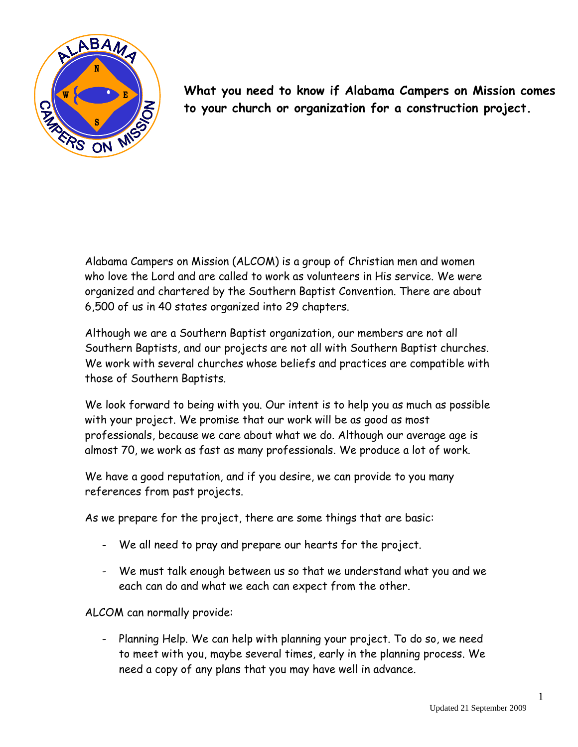

**What you need to know if Alabama Campers on Mission comes to your church or organization for a construction project.**

Alabama Campers on Mission (ALCOM) is a group of Christian men and women who love the Lord and are called to work as volunteers in His service. We were organized and chartered by the Southern Baptist Convention. There are about 6,500 of us in 40 states organized into 29 chapters.

Although we are a Southern Baptist organization, our members are not all Southern Baptists, and our projects are not all with Southern Baptist churches. We work with several churches whose beliefs and practices are compatible with those of Southern Baptists.

We look forward to being with you. Our intent is to help you as much as possible with your project. We promise that our work will be as good as most professionals, because we care about what we do. Although our average age is almost 70, we work as fast as many professionals. We produce a lot of work.

We have a good reputation, and if you desire, we can provide to you many references from past projects.

As we prepare for the project, there are some things that are basic:

- We all need to pray and prepare our hearts for the project.
- We must talk enough between us so that we understand what you and we each can do and what we each can expect from the other.

ALCOM can normally provide:

- Planning Help. We can help with planning your project. To do so, we need to meet with you, maybe several times, early in the planning process. We need a copy of any plans that you may have well in advance.

1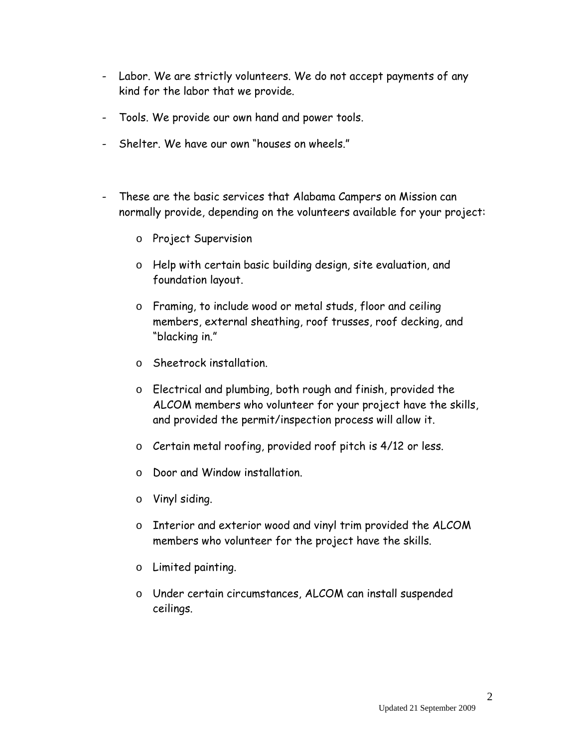- Labor. We are strictly volunteers. We do not accept payments of any kind for the labor that we provide.
- Tools. We provide our own hand and power tools.
- Shelter. We have our own "houses on wheels."
- These are the basic services that Alabama Campers on Mission can normally provide, depending on the volunteers available for your project:
	- o Project Supervision
	- o Help with certain basic building design, site evaluation, and foundation layout.
	- o Framing, to include wood or metal studs, floor and ceiling members, external sheathing, roof trusses, roof decking, and "blacking in."
	- o Sheetrock installation.
	- o Electrical and plumbing, both rough and finish, provided the ALCOM members who volunteer for your project have the skills, and provided the permit/inspection process will allow it.
	- o Certain metal roofing, provided roof pitch is 4/12 or less.
	- o Door and Window installation.
	- o Vinyl siding.
	- o Interior and exterior wood and vinyl trim provided the ALCOM members who volunteer for the project have the skills.
	- o Limited painting.
	- o Under certain circumstances, ALCOM can install suspended ceilings.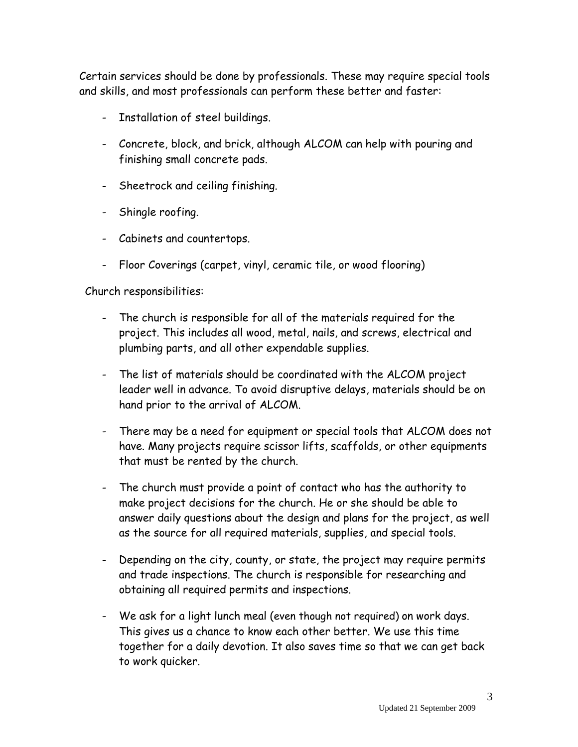Certain services should be done by professionals. These may require special tools and skills, and most professionals can perform these better and faster:

- Installation of steel buildings.
- Concrete, block, and brick, although ALCOM can help with pouring and finishing small concrete pads.
- Sheetrock and ceiling finishing.
- Shingle roofing.
- Cabinets and countertops.
- Floor Coverings (carpet, vinyl, ceramic tile, or wood flooring)

Church responsibilities:

- The church is responsible for all of the materials required for the project. This includes all wood, metal, nails, and screws, electrical and plumbing parts, and all other expendable supplies.
- The list of materials should be coordinated with the ALCOM project leader well in advance. To avoid disruptive delays, materials should be on hand prior to the arrival of ALCOM.
- There may be a need for equipment or special tools that ALCOM does not have. Many projects require scissor lifts, scaffolds, or other equipments that must be rented by the church.
- The church must provide a point of contact who has the authority to make project decisions for the church. He or she should be able to answer daily questions about the design and plans for the project, as well as the source for all required materials, supplies, and special tools.
- Depending on the city, county, or state, the project may require permits and trade inspections. The church is responsible for researching and obtaining all required permits and inspections.
- We ask for a light lunch meal (even though not required) on work days. This gives us a chance to know each other better. We use this time together for a daily devotion. It also saves time so that we can get back to work quicker.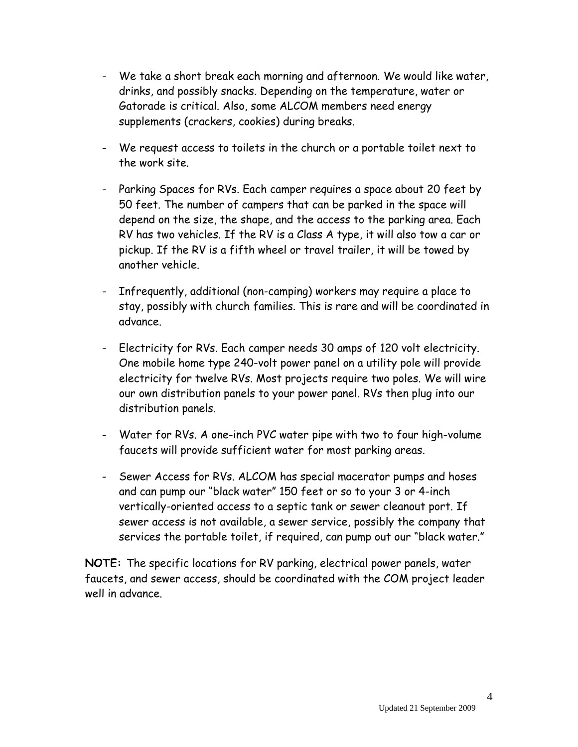- We take a short break each morning and afternoon. We would like water, drinks, and possibly snacks. Depending on the temperature, water or Gatorade is critical. Also, some ALCOM members need energy supplements (crackers, cookies) during breaks.
- We request access to toilets in the church or a portable toilet next to the work site.
- Parking Spaces for RVs. Each camper requires a space about 20 feet by 50 feet. The number of campers that can be parked in the space will depend on the size, the shape, and the access to the parking area. Each RV has two vehicles. If the RV is a Class A type, it will also tow a car or pickup. If the RV is a fifth wheel or travel trailer, it will be towed by another vehicle.
- Infrequently, additional (non-camping) workers may require a place to stay, possibly with church families. This is rare and will be coordinated in advance.
- Electricity for RVs. Each camper needs 30 amps of 120 volt electricity. One mobile home type 240-volt power panel on a utility pole will provide electricity for twelve RVs. Most projects require two poles. We will wire our own distribution panels to your power panel. RVs then plug into our distribution panels.
- Water for RVs. A one-inch PVC water pipe with two to four high-volume faucets will provide sufficient water for most parking areas.
- Sewer Access for RVs. ALCOM has special macerator pumps and hoses and can pump our "black water" 150 feet or so to your 3 or 4-inch vertically-oriented access to a septic tank or sewer cleanout port. If sewer access is not available, a sewer service, possibly the company that services the portable toilet, if required, can pump out our "black water."

**NOTE:** The specific locations for RV parking, electrical power panels, water faucets, and sewer access, should be coordinated with the COM project leader well in advance.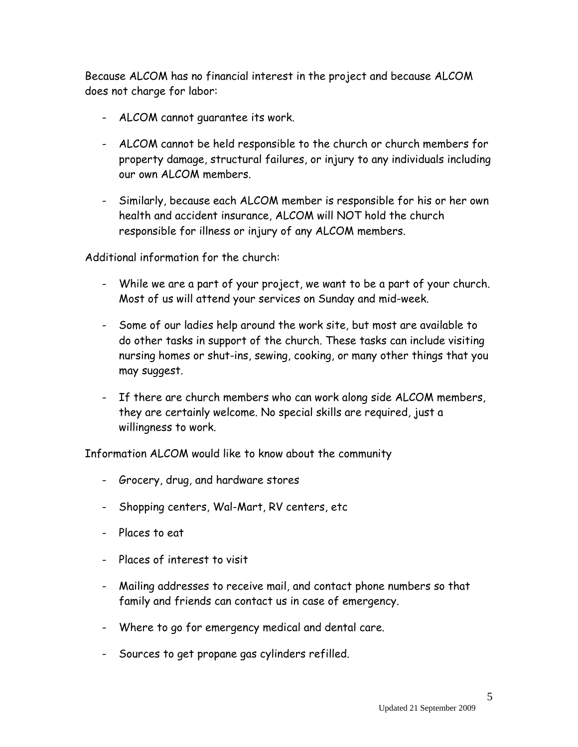Because ALCOM has no financial interest in the project and because ALCOM does not charge for labor:

- ALCOM cannot guarantee its work.
- ALCOM cannot be held responsible to the church or church members for property damage, structural failures, or injury to any individuals including our own ALCOM members.
- Similarly, because each ALCOM member is responsible for his or her own health and accident insurance, ALCOM will NOT hold the church responsible for illness or injury of any ALCOM members.

Additional information for the church:

- While we are a part of your project, we want to be a part of your church. Most of us will attend your services on Sunday and mid-week.
- Some of our ladies help around the work site, but most are available to do other tasks in support of the church. These tasks can include visiting nursing homes or shut-ins, sewing, cooking, or many other things that you may suggest.
- If there are church members who can work along side ALCOM members, they are certainly welcome. No special skills are required, just a willingness to work.

Information ALCOM would like to know about the community

- Grocery, drug, and hardware stores
- Shopping centers, Wal-Mart, RV centers, etc
- Places to eat
- Places of interest to visit
- Mailing addresses to receive mail, and contact phone numbers so that family and friends can contact us in case of emergency.
- Where to go for emergency medical and dental care.
- Sources to get propane gas cylinders refilled.